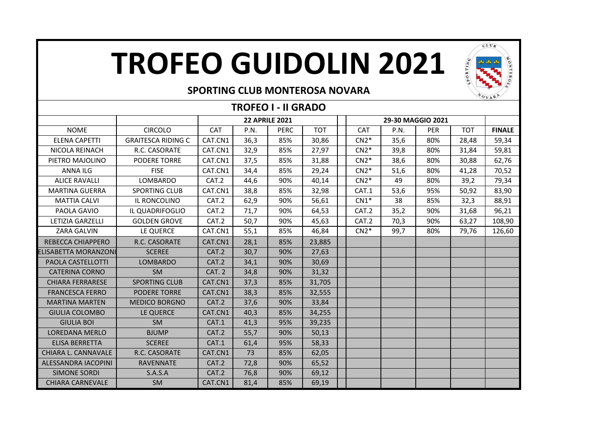## **TROFEO GUIDOLIN 2021**



#### **SPORTING CLUB MONTEROSA NOVARA**

| <b>TROFEO I - II GRADO</b> |                           |                       |      |             |            |  |            |      |            |            |               |
|----------------------------|---------------------------|-----------------------|------|-------------|------------|--|------------|------|------------|------------|---------------|
|                            |                           | <b>22 APRILE 2021</b> |      |             |            |  |            |      |            |            |               |
| <b>NOME</b>                | <b>CIRCOLO</b>            | <b>CAT</b>            | P.N. | <b>PERC</b> | <b>TOT</b> |  | <b>CAT</b> | P.N. | <b>PER</b> | <b>TOT</b> | <b>FINALE</b> |
| <b>ELENA CAPETTI</b>       | <b>GRAITESCA RIDING C</b> | CAT.CN1               | 36,3 | 85%         | 30,86      |  | $CN2*$     | 35,6 | 80%        | 28,48      | 59,34         |
| NICOLA REINACH             | R.C. CASORATE             | CAT.CN1               | 32,9 | 85%         | 27,97      |  | $CN2*$     | 39,8 | 80%        | 31,84      | 59,81         |
| PIETRO MAJOLINO            | <b>PODERE TORRE</b>       | CAT.CN1               | 37,5 | 85%         | 31,88      |  | $CN2*$     | 38,6 | 80%        | 30,88      | 62,76         |
| <b>ANNA ILG</b>            | <b>FISE</b>               | CAT.CN1               | 34,4 | 85%         | 29,24      |  | $CN2*$     | 51,6 | 80%        | 41,28      | 70,52         |
| <b>ALICE RAVALLI</b>       | <b>LOMBARDO</b>           | CAT.2                 | 44,6 | 90%         | 40,14      |  | $CN2*$     | 49   | 80%        | 39,2       | 79,34         |
| <b>MARTINA GUERRA</b>      | <b>SPORTING CLUB</b>      | CAT.CN1               | 38,8 | 85%         | 32,98      |  | CAT.1      | 53,6 | 95%        | 50,92      | 83,90         |
| <b>MATTIA CALVI</b>        | IL RONCOLINO              | CAT.2                 | 62,9 | 90%         | 56,61      |  | $CN1*$     | 38   | 85%        | 32,3       | 88,91         |
| PAOLA GAVIO                | IL QUADRIFOGLIO           | CAT.2                 | 71,7 | 90%         | 64,53      |  | CAT.2      | 35,2 | 90%        | 31,68      | 96,21         |
| <b>LETIZIA GARZELLI</b>    | <b>GOLDEN GROVE</b>       | CAT.2                 | 50,7 | 90%         | 45,63      |  | CAT.2      | 70,3 | 90%        | 63,27      | 108,90        |
| <b>ZARA GALVIN</b>         | LE QUERCE                 | CAT.CN1               | 55,1 | 85%         | 46,84      |  | $CN2*$     | 99,7 | 80%        | 79,76      | 126,60        |
| REBECCA CHIAPPERO          | R.C. CASORATE             | CAT.CN1               | 28,1 | 85%         | 23,885     |  |            |      |            |            |               |
| ELISABETTA MORANZONI       | <b>SCEREE</b>             | CAT.2                 | 30,7 | 90%         | 27,63      |  |            |      |            |            |               |
| PAOLA CASTELLOTTI          | <b>LOMBARDO</b>           | CAT.2                 | 34,1 | 90%         | 30,69      |  |            |      |            |            |               |
| <b>CATERINA CORNO</b>      | <b>SM</b>                 | CAT. 2                | 34,8 | 90%         | 31,32      |  |            |      |            |            |               |
| <b>CHIARA FERRARESE</b>    | <b>SPORTING CLUB</b>      | CAT.CN1               | 37,3 | 85%         | 31,705     |  |            |      |            |            |               |
| <b>FRANCESCA FERRO</b>     | <b>PODERE TORRE</b>       | CAT.CN1               | 38,3 | 85%         | 32,555     |  |            |      |            |            |               |
| <b>MARTINA MARTEN</b>      | <b>MEDICO BORGNO</b>      | CAT.2                 | 37,6 | 90%         | 33,84      |  |            |      |            |            |               |
| <b>GIULIA COLOMBO</b>      | LE QUERCE                 | CAT.CN1               | 40,3 | 85%         | 34,255     |  |            |      |            |            |               |
| <b>GIULIA BOI</b>          | <b>SM</b>                 | CAT.1                 | 41,3 | 95%         | 39,235     |  |            |      |            |            |               |
| <b>LOREDANA MERLO</b>      | <b>BJUMP</b>              | CAT.2                 | 55,7 | 90%         | 50,13      |  |            |      |            |            |               |
| <b>ELISA BERRETTA</b>      | <b>SCEREE</b>             | CAT.1                 | 61,4 | 95%         | 58,33      |  |            |      |            |            |               |
| CHIARA L. CANNAVALE        | R.C. CASORATE             | CAT.CN1               | 73   | 85%         | 62,05      |  |            |      |            |            |               |
| ALESSANDRA IACOPINI        | <b>RAVENNATE</b>          | CAT.2                 | 72,8 | 90%         | 65,52      |  |            |      |            |            |               |
| <b>SIMONE SORDI</b>        | S.A.S.A                   | CAT.2                 | 76,8 | 90%         | 69,12      |  |            |      |            |            |               |
| <b>CHIARA CARNEVALE</b>    | <b>SM</b>                 | CAT.CN1               | 81,4 | 85%         | 69,19      |  |            |      |            |            |               |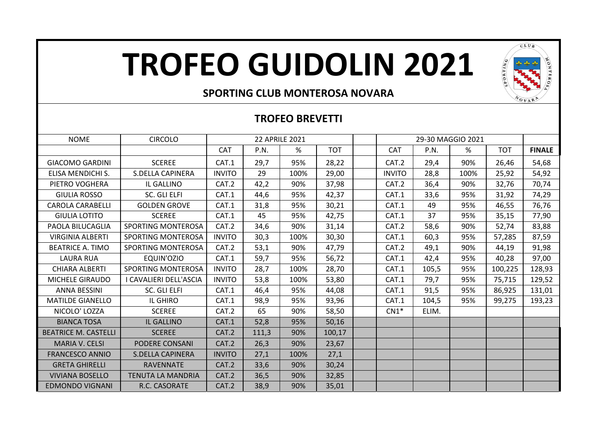# **TROFEO GUIDOLIN 2021**



### **SPORTING CLUB MONTEROSA NOVARA**

### **TROFEO BREVETTI**

| <b>NOME</b>                 | <b>CIRCOLO</b>            | <b>22 APRILE 2021</b> |       |      |            |               |       |      |            |               |
|-----------------------------|---------------------------|-----------------------|-------|------|------------|---------------|-------|------|------------|---------------|
|                             |                           | CAT                   | P.N.  | %    | <b>TOT</b> | <b>CAT</b>    | P.N.  | %    | <b>TOT</b> | <b>FINALE</b> |
| <b>GIACOMO GARDINI</b>      | <b>SCEREE</b>             | CAT.1                 | 29,7  | 95%  | 28,22      | CAT.2         | 29,4  | 90%  | 26,46      | 54,68         |
| ELISA MENDICHI S.           | <b>S.DELLA CAPINERA</b>   | <b>INVITO</b>         | 29    | 100% | 29,00      | <b>INVITO</b> | 28,8  | 100% | 25,92      | 54,92         |
| PIETRO VOGHERA              | IL GALLINO                | CAT.2                 | 42,2  | 90%  | 37,98      | CAT.2         | 36,4  | 90%  | 32,76      | 70,74         |
| <b>GIULIA ROSSO</b>         | SC. GLI ELFI              | CAT.1                 | 44,6  | 95%  | 42,37      | CAT.1         | 33,6  | 95%  | 31,92      | 74,29         |
| <b>CAROLA CARABELLI</b>     | <b>GOLDEN GROVE</b>       | CAT.1                 | 31,8  | 95%  | 30,21      | CAT.1         | 49    | 95%  | 46,55      | 76,76         |
| <b>GIULIA LOTITO</b>        | <b>SCEREE</b>             | CAT.1                 | 45    | 95%  | 42,75      | CAT.1         | 37    | 95%  | 35,15      | 77,90         |
| PAOLA BILUCAGLIA            | SPORTING MONTEROSA        | CAT.2                 | 34,6  | 90%  | 31,14      | CAT.2         | 58,6  | 90%  | 52,74      | 83,88         |
| <b>VIRGINIA ALBERTI</b>     | <b>SPORTING MONTEROSA</b> | <b>INVITO</b>         | 30,3  | 100% | 30,30      | CAT.1         | 60,3  | 95%  | 57,285     | 87,59         |
| <b>BEATRICE A. TIMO</b>     | SPORTING MONTEROSA        | CAT.2                 | 53,1  | 90%  | 47,79      | CAT.2         | 49,1  | 90%  | 44,19      | 91,98         |
| <b>LAURA RUA</b>            | EQUIN'OZIO                | CAT.1                 | 59,7  | 95%  | 56,72      | CAT.1         | 42,4  | 95%  | 40,28      | 97,00         |
| <b>CHIARA ALBERTI</b>       | SPORTING MONTEROSA        | <b>INVITO</b>         | 28,7  | 100% | 28,70      | CAT.1         | 105,5 | 95%  | 100,225    | 128,93        |
| MICHELE GIRAUDO             | I CAVALIERI DELL'ASCIA    | <b>INVITO</b>         | 53,8  | 100% | 53,80      | CAT.1         | 79,7  | 95%  | 75,715     | 129,52        |
| <b>ANNA BESSINI</b>         | <b>SC. GLI ELFI</b>       | CAT.1                 | 46,4  | 95%  | 44,08      | CAT.1         | 91,5  | 95%  | 86,925     | 131,01        |
| <b>MATILDE GIANELLO</b>     | IL GHIRO                  | CAT.1                 | 98,9  | 95%  | 93,96      | CAT.1         | 104,5 | 95%  | 99,275     | 193,23        |
| NICOLO' LOZZA               | <b>SCEREE</b>             | CAT.2                 | 65    | 90%  | 58,50      | $CN1*$        | ELIM. |      |            |               |
| <b>BIANCA TOSA</b>          | IL GALLINO                | CAT.1                 | 52,8  | 95%  | 50,16      |               |       |      |            |               |
| <b>BEATRICE M. CASTELLI</b> | <b>SCEREE</b>             | CAT.2                 | 111,3 | 90%  | 100,17     |               |       |      |            |               |
| <b>MARIA V. CELSI</b>       | PODERE CONSANI            | CAT.2                 | 26,3  | 90%  | 23,67      |               |       |      |            |               |
| <b>FRANCESCO ANNIO</b>      | <b>S.DELLA CAPINERA</b>   | <b>INVITO</b>         | 27,1  | 100% | 27,1       |               |       |      |            |               |
| <b>GRETA GHIRELLI</b>       | <b>RAVENNATE</b>          | CAT.2                 | 33,6  | 90%  | 30,24      |               |       |      |            |               |
| <b>VIVIANA BOSELLO</b>      | <b>TENUTA LA MANDRIA</b>  | CAT.2                 | 36,5  | 90%  | 32,85      |               |       |      |            |               |
| <b>EDMONDO VIGNANI</b>      | R.C. CASORATE             | CAT.2                 | 38,9  | 90%  | 35,01      |               |       |      |            |               |